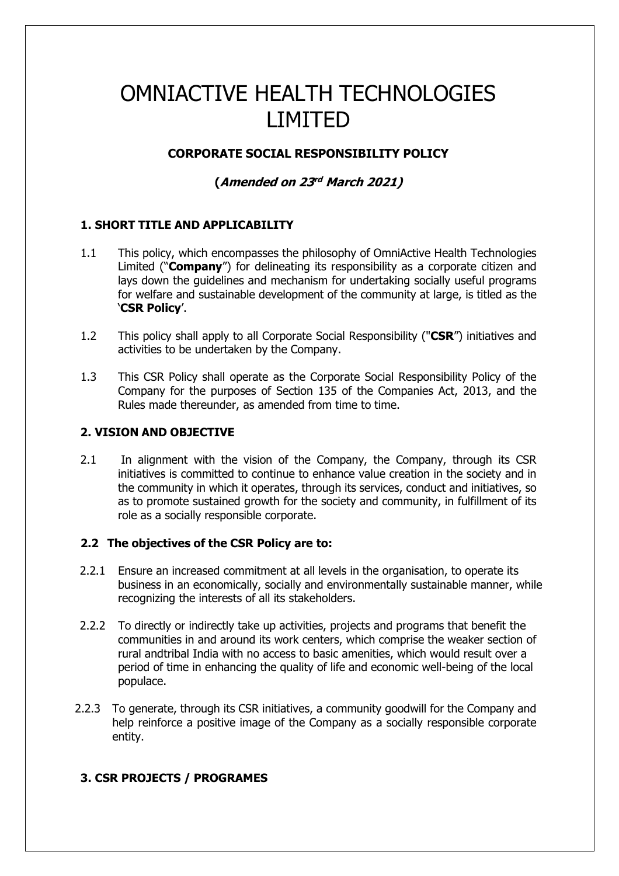# OMNIACTIVE HEALTH TECHNOLOGIES LIMITED

# **CORPORATE SOCIAL RESPONSIBILITY POLICY**

# **(Amended on 23 rd March 2021)**

## **1. SHORT TITLE AND APPLICABILITY**

- 1.1 This policy, which encompasses the philosophy of OmniActive Health Technologies Limited ("**Company**") for delineating its responsibility as a corporate citizen and lays down the guidelines and mechanism for undertaking socially useful programs for welfare and sustainable development of the community at large, is titled as the '**CSR Policy**'.
- 1.2 This policy shall apply to all Corporate Social Responsibility ("**CSR**") initiatives and activities to be undertaken by the Company.
- 1.3 This CSR Policy shall operate as the Corporate Social Responsibility Policy of the Company for the purposes of Section 135 of the Companies Act, 2013, and the Rules made thereunder, as amended from time to time.

#### **2. VISION AND OBJECTIVE**

2.1 In alignment with the vision of the Company, the Company, through its CSR initiatives is committed to continue to enhance value creation in the society and in the community in which it operates, through its services, conduct and initiatives, so as to promote sustained growth for the society and community, in fulfillment of its role as a socially responsible corporate.

## **2.2 The objectives of the CSR Policy are to:**

- 2.2.1 Ensure an increased commitment at all levels in the organisation, to operate its business in an economically, socially and environmentally sustainable manner, while recognizing the interests of all its stakeholders.
- 2.2.2 To directly or indirectly take up activities, projects and programs that benefit the communities in and around its work centers, which comprise the weaker section of rural andtribal India with no access to basic amenities, which would result over a period of time in enhancing the quality of life and economic well-being of the local populace.
- 2.2.3 To generate, through its CSR initiatives, a community goodwill for the Company and help reinforce a positive image of the Company as a socially responsible corporate entity.

# **3. CSR PROJECTS / PROGRAMES**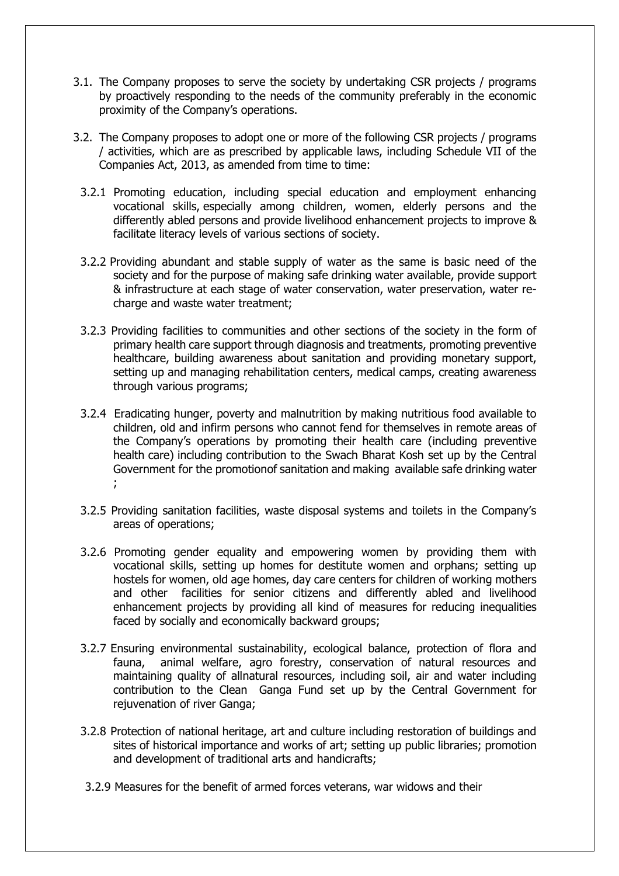- 3.1. The Company proposes to serve the society by undertaking CSR projects / programs by proactively responding to the needs of the community preferably in the economic proximity of the Company's operations.
- 3.2. The Company proposes to adopt one or more of the following CSR projects / programs / activities, which are as prescribed by applicable laws, including Schedule VII of the Companies Act, 2013, as amended from time to time:
	- 3.2.1 Promoting education, including special education and employment enhancing vocational skills, especially among children, women, elderly persons and the differently abled persons and provide livelihood enhancement projects to improve & facilitate literacy levels of various sections of society.
	- 3.2.2 Providing abundant and stable supply of water as the same is basic need of the society and for the purpose of making safe drinking water available, provide support & infrastructure at each stage of water conservation, water preservation, water recharge and waste water treatment;
	- 3.2.3 Providing facilities to communities and other sections of the society in the form of primary health care support through diagnosis and treatments, promoting preventive healthcare, building awareness about sanitation and providing monetary support, setting up and managing rehabilitation centers, medical camps, creating awareness through various programs;
	- 3.2.4 Eradicating hunger, poverty and malnutrition by making nutritious food available to children, old and infirm persons who cannot fend for themselves in remote areas of the Company's operations by promoting their health care (including preventive health care) including contribution to the Swach Bharat Kosh set up by the Central Government for the promotionof sanitation and making available safe drinking water ;
	- 3.2.5 Providing sanitation facilities, waste disposal systems and toilets in the Company's areas of operations;
	- 3.2.6 Promoting gender equality and empowering women by providing them with vocational skills, setting up homes for destitute women and orphans; setting up hostels for women, old age homes, day care centers for children of working mothers and other facilities for senior citizens and differently abled and livelihood enhancement projects by providing all kind of measures for reducing inequalities faced by socially and economically backward groups;
	- 3.2.7 Ensuring environmental sustainability, ecological balance, protection of flora and fauna, animal welfare, agro forestry, conservation of natural resources and maintaining quality of allnatural resources, including soil, air and water including contribution to the Clean Ganga Fund set up by the Central Government for rejuvenation of river Ganga;
	- 3.2.8 Protection of national heritage, art and culture including restoration of buildings and sites of historical importance and works of art; setting up public libraries; promotion and development of traditional arts and handicrafts;
	- 3.2.9 Measures for the benefit of armed forces veterans, war widows and their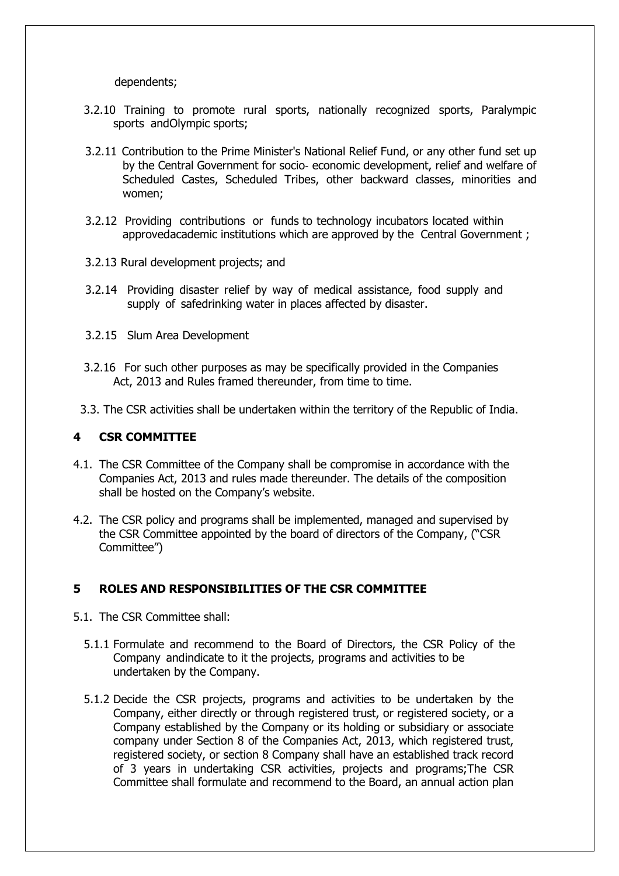dependents;

- 3.2.10 Training to promote rural sports, nationally recognized sports, Paralympic sports andOlympic sports;
- 3.2.11 Contribution to the Prime Minister's National Relief Fund, or any other fund set up by the Central Government for socio‐ economic development, relief and welfare of Scheduled Castes, Scheduled Tribes, other backward classes, minorities and women;
- 3.2.12 Providing contributions or funds to technology incubators located within approvedacademic institutions which are approved by the Central Government ;
- 3.2.13 Rural development projects; and
- 3.2.14 Providing disaster relief by way of medical assistance, food supply and supply of safedrinking water in places affected by disaster.
- 3.2.15 Slum Area Development
- 3.2.16 For such other purposes as may be specifically provided in the Companies Act, 2013 and Rules framed thereunder, from time to time.
- 3.3. The CSR activities shall be undertaken within the territory of the Republic of India.

#### **4 CSR COMMITTEE**

- 4.1. The CSR Committee of the Company shall be compromise in accordance with the Companies Act, 2013 and rules made thereunder. The details of the composition shall be hosted on the Company's website.
- 4.2. The CSR policy and programs shall be implemented, managed and supervised by the CSR Committee appointed by the board of directors of the Company, ("CSR Committee")

## **5 ROLES AND RESPONSIBILITIES OF THE CSR COMMITTEE**

- 5.1. The CSR Committee shall:
	- 5.1.1 Formulate and recommend to the Board of Directors, the CSR Policy of the Company andindicate to it the projects, programs and activities to be undertaken by the Company.
	- 5.1.2 Decide the CSR projects, programs and activities to be undertaken by the Company, either directly or through registered trust, or registered society, or a Company established by the Company or its holding or subsidiary or associate company under Section 8 of the Companies Act, 2013, which registered trust, registered society, or section 8 Company shall have an established track record of 3 years in undertaking CSR activities, projects and programs;The CSR Committee shall formulate and recommend to the Board, an annual action plan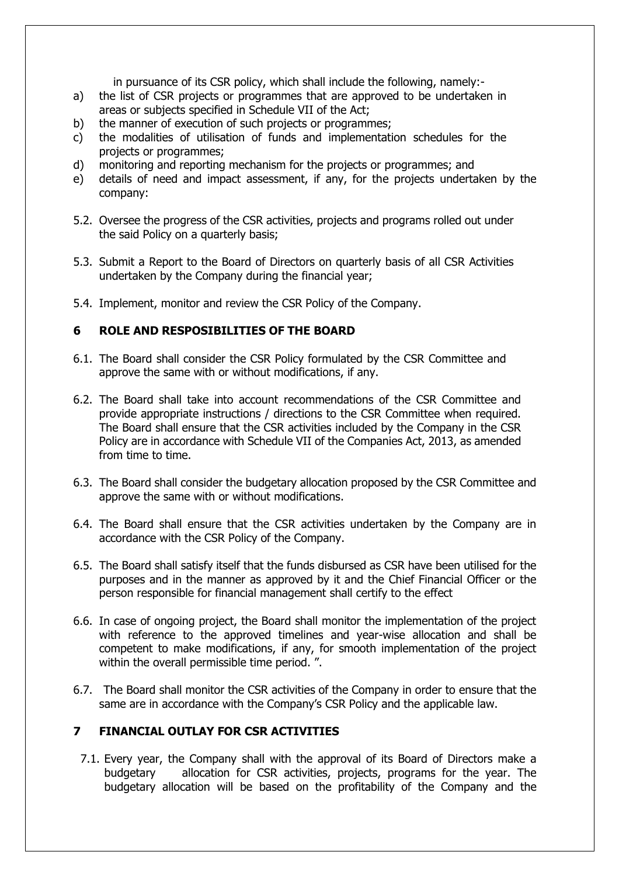in pursuance of its CSR policy, which shall include the following, namely:-

- a) the list of CSR projects or programmes that are approved to be undertaken in areas or subjects specified in Schedule VII of the Act;
- b) the manner of execution of such projects or programmes;
- c) the modalities of utilisation of funds and implementation schedules for the projects or programmes;
- d) monitoring and reporting mechanism for the projects or programmes; and
- e) details of need and impact assessment, if any, for the projects undertaken by the company:
- 5.2. Oversee the progress of the CSR activities, projects and programs rolled out under the said Policy on a quarterly basis;
- 5.3. Submit a Report to the Board of Directors on quarterly basis of all CSR Activities undertaken by the Company during the financial year;
- 5.4. Implement, monitor and review the CSR Policy of the Company.

# **6 ROLE AND RESPOSIBILITIES OF THE BOARD**

- 6.1. The Board shall consider the CSR Policy formulated by the CSR Committee and approve the same with or without modifications, if any.
- 6.2. The Board shall take into account recommendations of the CSR Committee and provide appropriate instructions / directions to the CSR Committee when required. The Board shall ensure that the CSR activities included by the Company in the CSR Policy are in accordance with Schedule VII of the Companies Act, 2013, as amended from time to time.
- 6.3. The Board shall consider the budgetary allocation proposed by the CSR Committee and approve the same with or without modifications.
- 6.4. The Board shall ensure that the CSR activities undertaken by the Company are in accordance with the CSR Policy of the Company.
- 6.5. The Board shall satisfy itself that the funds disbursed as CSR have been utilised for the purposes and in the manner as approved by it and the Chief Financial Officer or the person responsible for financial management shall certify to the effect
- 6.6. In case of ongoing project, the Board shall monitor the implementation of the project with reference to the approved timelines and year-wise allocation and shall be competent to make modifications, if any, for smooth implementation of the project within the overall permissible time period. ".
- 6.7. The Board shall monitor the CSR activities of the Company in order to ensure that the same are in accordance with the Company's CSR Policy and the applicable law.

# **7 FINANCIAL OUTLAY FOR CSR ACTIVITIES**

7.1. Every year, the Company shall with the approval of its Board of Directors make a budgetary allocation for CSR activities, projects, programs for the year. The budgetary allocation will be based on the profitability of the Company and the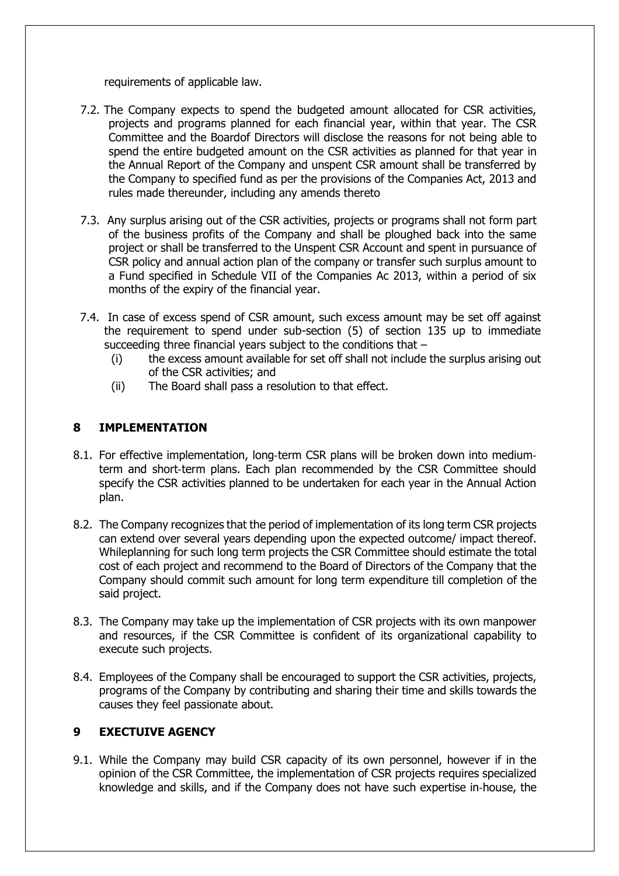requirements of applicable law.

- 7.2. The Company expects to spend the budgeted amount allocated for CSR activities, projects and programs planned for each financial year, within that year. The CSR Committee and the Boardof Directors will disclose the reasons for not being able to spend the entire budgeted amount on the CSR activities as planned for that year in the Annual Report of the Company and unspent CSR amount shall be transferred by the Company to specified fund as per the provisions of the Companies Act, 2013 and rules made thereunder, including any amends thereto
- 7.3. Any surplus arising out of the CSR activities, projects or programs shall not form part of the business profits of the Company and shall be ploughed back into the same project or shall be transferred to the Unspent CSR Account and spent in pursuance of CSR policy and annual action plan of the company or transfer such surplus amount to a Fund specified in Schedule VII of the Companies Ac 2013, within a period of six months of the expiry of the financial year.
- 7.4. In case of excess spend of CSR amount, such excess amount may be set off against the requirement to spend under sub-section (5) of section 135 up to immediate succeeding three financial years subject to the conditions that –
	- (i) the excess amount available for set off shall not include the surplus arising out of the CSR activities; and
	- (ii) The Board shall pass a resolution to that effect.

## **8 IMPLEMENTATION**

- 8.1. For effective implementation, long‐term CSR plans will be broken down into medium‐ term and short‐term plans. Each plan recommended by the CSR Committee should specify the CSR activities planned to be undertaken for each year in the Annual Action plan.
- 8.2. The Company recognizes that the period of implementation of its long term CSR projects can extend over several years depending upon the expected outcome/ impact thereof. Whileplanning for such long term projects the CSR Committee should estimate the total cost of each project and recommend to the Board of Directors of the Company that the Company should commit such amount for long term expenditure till completion of the said project.
- 8.3. The Company may take up the implementation of CSR projects with its own manpower and resources, if the CSR Committee is confident of its organizational capability to execute such projects.
- 8.4. Employees of the Company shall be encouraged to support the CSR activities, projects, programs of the Company by contributing and sharing their time and skills towards the causes they feel passionate about.

## **9 EXECTUIVE AGENCY**

9.1. While the Company may build CSR capacity of its own personnel, however if in the opinion of the CSR Committee, the implementation of CSR projects requires specialized knowledge and skills, and if the Company does not have such expertise in‐house, the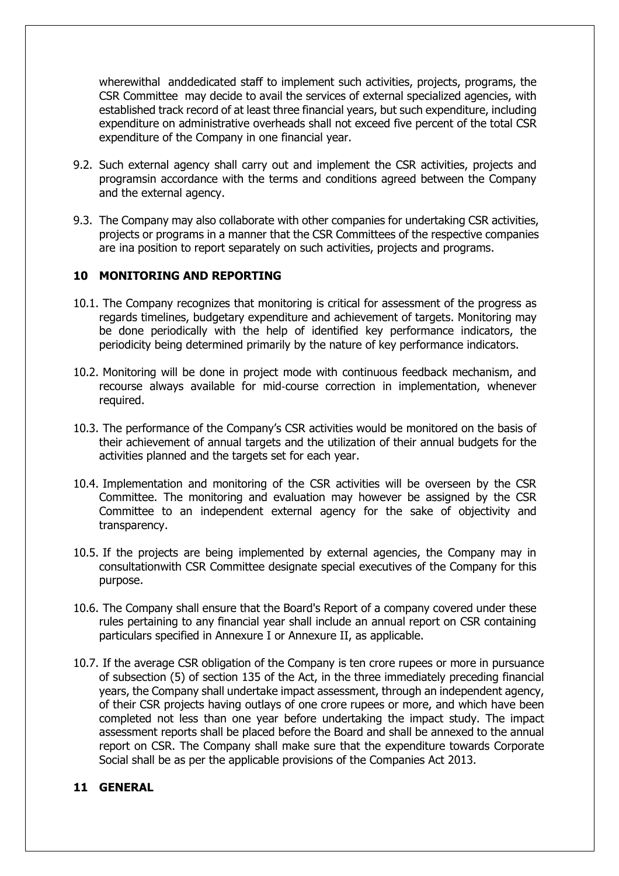wherewithal and dedicated staff to implement such activities, projects, programs, the CSR Committee may decide to avail the services of external specialized agencies, with established track record of at least three financial years, but such expenditure, including expenditure on administrative overheads shall not exceed five percent of the total CSR expenditure of the Company in one financial year.

- 9.2. Such external agency shall carry out and implement the CSR activities, projects and programsin accordance with the terms and conditions agreed between the Company and the external agency.
- 9.3. The Company may also collaborate with other companies for undertaking CSR activities, projects or programs in a manner that the CSR Committees of the respective companies are ina position to report separately on such activities, projects and programs.

#### **10 MONITORING AND REPORTING**

- 10.1. The Company recognizes that monitoring is critical for assessment of the progress as regards timelines, budgetary expenditure and achievement of targets. Monitoring may be done periodically with the help of identified key performance indicators, the periodicity being determined primarily by the nature of key performance indicators.
- 10.2. Monitoring will be done in project mode with continuous feedback mechanism, and recourse always available for mid‐course correction in implementation, whenever required.
- 10.3. The performance of the Company's CSR activities would be monitored on the basis of their achievement of annual targets and the utilization of their annual budgets for the activities planned and the targets set for each year.
- 10.4. Implementation and monitoring of the CSR activities will be overseen by the CSR Committee. The monitoring and evaluation may however be assigned by the CSR Committee to an independent external agency for the sake of objectivity and transparency.
- 10.5. If the projects are being implemented by external agencies, the Company may in consultationwith CSR Committee designate special executives of the Company for this purpose.
- 10.6. The Company shall ensure that the Board's Report of a company covered under these rules pertaining to any financial year shall include an annual report on CSR containing particulars specified in Annexure I or Annexure II, as applicable.
- 10.7. If the average CSR obligation of the Company is ten crore rupees or more in pursuance of subsection (5) of section 135 of the Act, in the three immediately preceding financial years, the Company shall undertake impact assessment, through an independent agency, of their CSR projects having outlays of one crore rupees or more, and which have been completed not less than one year before undertaking the impact study. The impact assessment reports shall be placed before the Board and shall be annexed to the annual report on CSR. The Company shall make sure that the expenditure towards Corporate Social shall be as per the applicable provisions of the Companies Act 2013.

#### **11 GENERAL**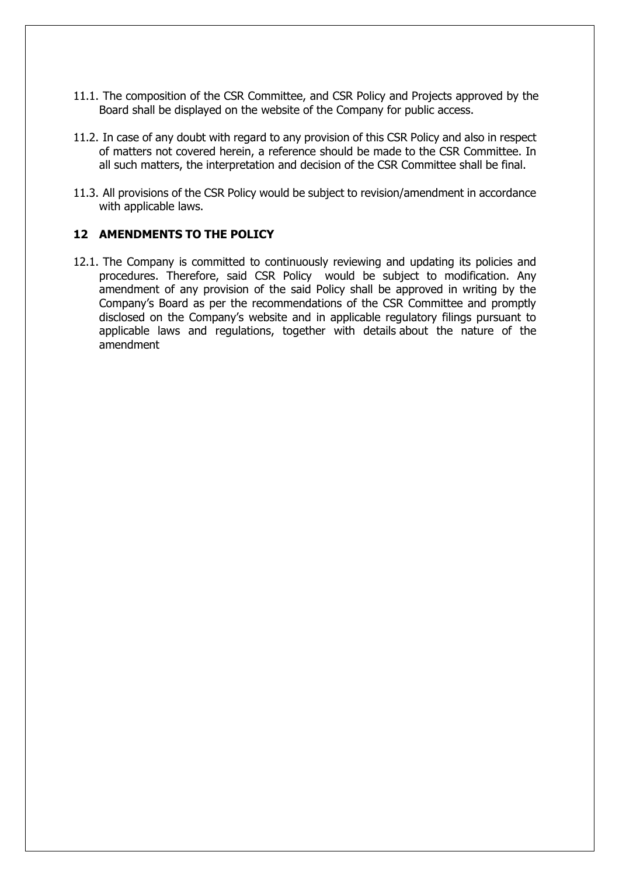- 11.1. The composition of the CSR Committee, and CSR Policy and Projects approved by the Board shall be displayed on the website of the Company for public access.
- 11.2. In case of any doubt with regard to any provision of this CSR Policy and also in respect of matters not covered herein, a reference should be made to the CSR Committee. In all such matters, the interpretation and decision of the CSR Committee shall be final.
- 11.3. All provisions of the CSR Policy would be subject to revision/amendment in accordance with applicable laws.

#### **12 AMENDMENTS TO THE POLICY**

12.1. The Company is committed to continuously reviewing and updating its policies and procedures. Therefore, said CSR Policy would be subject to modification. Any amendment of any provision of the said Policy shall be approved in writing by the Company's Board as per the recommendations of the CSR Committee and promptly disclosed on the Company's website and in applicable regulatory filings pursuant to applicable laws and regulations, together with details about the nature of the amendment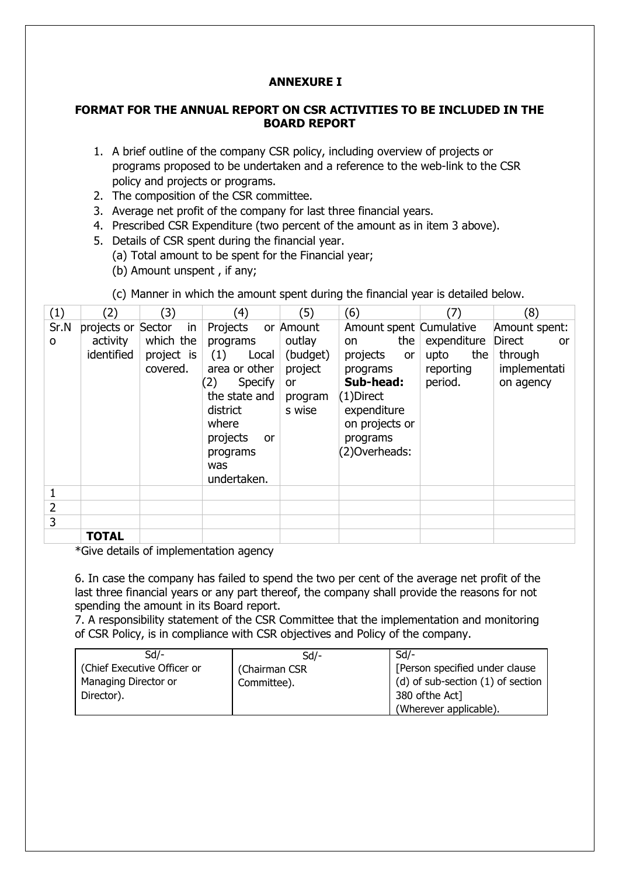# **ANNEXURE I**

#### **FORMAT FOR THE ANNUAL REPORT ON CSR ACTIVITIES TO BE INCLUDED IN THE BOARD REPORT**

- 1. A brief outline of the company CSR policy, including overview of projects or programs proposed to be undertaken and a reference to the web-link to the CSR policy and projects or programs.
- 2. The composition of the CSR committee.
- 3. Average net profit of the company for last three financial years.
- 4. Prescribed CSR Expenditure (two percent of the amount as in item 3 above).
- 5. Details of CSR spent during the financial year.
	- (a) Total amount to be spent for the Financial year;
	- (b) Amount unspent , if any;

|  | (c) Manner in which the amount spent during the financial year is detailed below. |  |  |  |
|--|-----------------------------------------------------------------------------------|--|--|--|
|  |                                                                                   |  |  |  |

| (1)  | (2)                    | (3)                                 | (4)                                                                                                      | (5)                                                             | (6)                                                                                                          | 7)                                                 | (8)                                                         |
|------|------------------------|-------------------------------------|----------------------------------------------------------------------------------------------------------|-----------------------------------------------------------------|--------------------------------------------------------------------------------------------------------------|----------------------------------------------------|-------------------------------------------------------------|
| Sr.N | projects or Sector     | in                                  | Projects                                                                                                 | or Amount                                                       | Amount spent Cumulative                                                                                      |                                                    | Amount spent:                                               |
| 0    | activity<br>identified | which the<br>project is<br>covered. | programs<br>(1)<br>Local<br>area or other<br>(2)<br><b>Specify</b><br>the state and<br>district<br>where | outlay<br>(budget)<br>project<br><b>or</b><br>program<br>s wise | the<br>on<br>projects<br><b>or</b><br>programs<br>Sub-head:<br>$(1)$ Direct<br>expenditure<br>on projects or | expenditure<br>the<br>upto<br>reporting<br>period. | <b>Direct</b><br>or<br>through<br>implementati<br>on agency |
|      |                        |                                     | projects<br><b>or</b><br>programs<br>was<br>undertaken.                                                  |                                                                 | programs<br>(2)Overheads:                                                                                    |                                                    |                                                             |
| 1    |                        |                                     |                                                                                                          |                                                                 |                                                                                                              |                                                    |                                                             |
| 2    |                        |                                     |                                                                                                          |                                                                 |                                                                                                              |                                                    |                                                             |
| 3    |                        |                                     |                                                                                                          |                                                                 |                                                                                                              |                                                    |                                                             |
|      | <b>TOTAL</b>           |                                     |                                                                                                          |                                                                 |                                                                                                              |                                                    |                                                             |

\*Give details of implementation agency

6. In case the company has failed to spend the two per cent of the average net profit of the last three financial years or any part thereof, the company shall provide the reasons for not spending the amount in its Board report.

7. A responsibility statement of the CSR Committee that the implementation and monitoring of CSR Policy, is in compliance with CSR objectives and Policy of the company.

| Sd/-                        | $Sd$ -        | $Sd$ /-                           |
|-----------------------------|---------------|-----------------------------------|
| (Chief Executive Officer or | (Chairman CSR | [Person specified under clause    |
| Managing Director or        | Committee).   | (d) of sub-section (1) of section |
| Director).                  |               | 380 of the Act]                   |
|                             |               | (Wherever applicable).            |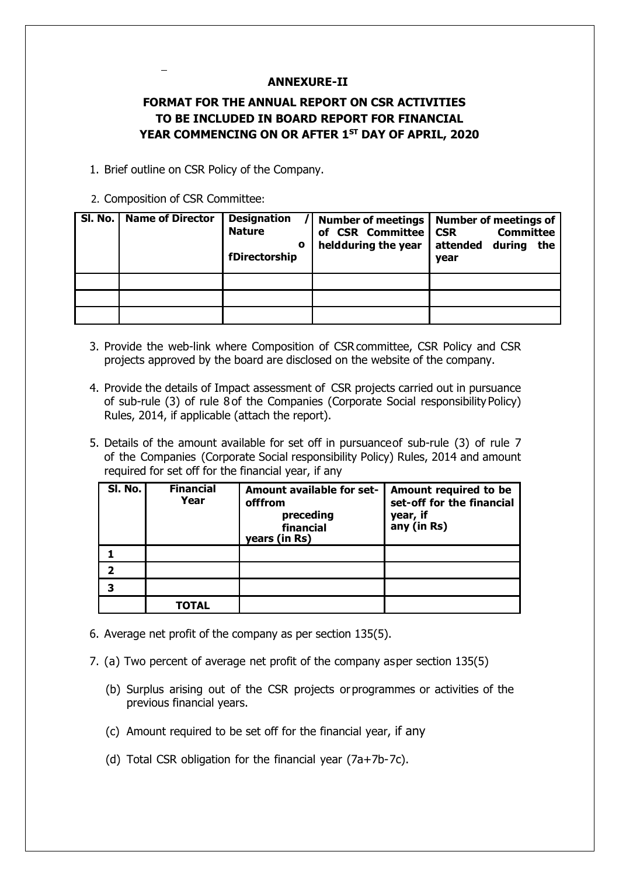#### **ANNEXURE-II**

# **FORMAT FOR THE ANNUAL REPORT ON CSR ACTIVITIES TO BE INCLUDED IN BOARD REPORT FOR FINANCIAL YEAR COMMENCING ON OR AFTER 1 ST DAY OF APRIL, 2020**

1. Brief outline on CSR Policy of the Company.

#### 2. Composition of CSR Committee:

| Sl. No. | <b>Name of Director</b> | <b>Designation</b><br><b>Nature</b><br>O<br>fDirectorship | <b>Number of meetings</b><br>of CSR Committee<br>heldduring the year | <b>Number of meetings of</b><br><b>Committee</b><br><b>CSR</b><br>attended<br>during<br>the<br>year |
|---------|-------------------------|-----------------------------------------------------------|----------------------------------------------------------------------|-----------------------------------------------------------------------------------------------------|
|         |                         |                                                           |                                                                      |                                                                                                     |
|         |                         |                                                           |                                                                      |                                                                                                     |
|         |                         |                                                           |                                                                      |                                                                                                     |

- 3. Provide the web-link where Composition of CSRcommittee, CSR Policy and CSR projects approved by the board are disclosed on the website of the company.
- 4. Provide the details of Impact assessment of CSR projects carried out in pursuance of sub-rule (3) of rule 8 of the Companies (Corporate Social responsibilityPolicy) Rules, 2014, if applicable (attach the report).
- 5. Details of the amount available for set off in pursuanceof sub-rule (3) of rule 7 of the Companies (Corporate Social responsibility Policy) Rules, 2014 and amount required for set off for the financial year, if any

| SI. No. | <b>Financial</b><br>Year | Amount available for set-<br>offfrom<br>preceding<br>financial<br>years (in Rs) | Amount required to be<br>set-off for the financial<br>year, if<br>any (in Rs) |
|---------|--------------------------|---------------------------------------------------------------------------------|-------------------------------------------------------------------------------|
|         |                          |                                                                                 |                                                                               |
| 2       |                          |                                                                                 |                                                                               |
| 3       |                          |                                                                                 |                                                                               |
|         | TOTAL                    |                                                                                 |                                                                               |

- 6. Average net profit of the company as per section 135(5).
- 7. (a) Two percent of average net profit of the company asper section 135(5)
	- (b) Surplus arising out of the CSR projects orprogrammes or activities of the previous financial years.
	- (c) Amount required to be set off for the financial year, if any
	- (d) Total CSR obligation for the financial year (7a+7b-7c).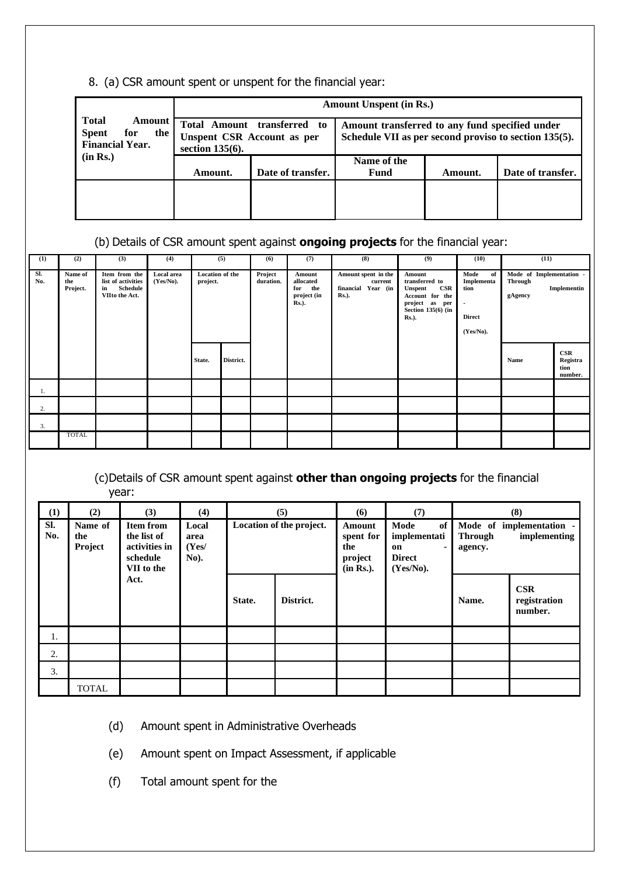#### 8. (a) CSR amount spent or unspent for the financial year:

|                                                                                       | <b>Amount Unspent (in Rs.)</b>                                          |                   |                                                                                                         |         |                   |  |  |  |
|---------------------------------------------------------------------------------------|-------------------------------------------------------------------------|-------------------|---------------------------------------------------------------------------------------------------------|---------|-------------------|--|--|--|
| <b>Total</b><br><b>Amount</b><br><b>Spent</b><br>for<br>the<br><b>Financial Year.</b> | <b>Total Amount</b><br>Unspent CSR Account as per<br>section $135(6)$ . | transferred<br>to | Amount transferred to any fund specified under<br>Schedule VII as per second proviso to section 135(5). |         |                   |  |  |  |
| (in Rs.)                                                                              | Amount.                                                                 | Date of transfer. | Name of the<br>Fund                                                                                     | Amount. | Date of transfer. |  |  |  |
|                                                                                       |                                                                         |                   |                                                                                                         |         |                   |  |  |  |

# (b) Details of CSR amount spent against **ongoing projects** for the financial year:

| (1)        | (2)                        | (3)                                                                     | (4)                        |                             | (5)       | (6)                  | (7)                                                               | (8)                                                                   | (9)                                                                                                                           | (10)                                                                   | (11)                                                  |                                    |
|------------|----------------------------|-------------------------------------------------------------------------|----------------------------|-----------------------------|-----------|----------------------|-------------------------------------------------------------------|-----------------------------------------------------------------------|-------------------------------------------------------------------------------------------------------------------------------|------------------------------------------------------------------------|-------------------------------------------------------|------------------------------------|
| Sl.<br>No. | Name of<br>the<br>Project. | Item from the<br>list of activities<br>Schedule<br>in<br>VIIto the Act. | Local area<br>$(Yes/No)$ . | Location of the<br>project. |           | Project<br>duration. | Amount<br>allocated<br>the<br>for<br>project (in<br><b>Rs.</b> ). | Amount spent in the<br>current<br>financial Year (in<br><b>Rs.</b> ). | Amount<br>transferred to<br>CSR<br><b>Unspent</b><br>Account for the<br>project as per<br>Section 135(6) (in<br><b>Rs.</b> ). | Mode<br>of<br>Implementa<br>tion<br>٠<br><b>Direct</b><br>$(Yes/No)$ . | Mode of Implementation -<br><b>Through</b><br>gAgency | Implementin                        |
|            |                            |                                                                         |                            | State.                      | District. |                      |                                                                   |                                                                       |                                                                                                                               |                                                                        | Name                                                  | CSR<br>Registra<br>tion<br>number. |
| 1.         |                            |                                                                         |                            |                             |           |                      |                                                                   |                                                                       |                                                                                                                               |                                                                        |                                                       |                                    |
| 2.         |                            |                                                                         |                            |                             |           |                      |                                                                   |                                                                       |                                                                                                                               |                                                                        |                                                       |                                    |
| 3.         |                            |                                                                         |                            |                             |           |                      |                                                                   |                                                                       |                                                                                                                               |                                                                        |                                                       |                                    |
|            | <b>TOTAL</b>               |                                                                         |                            |                             |           |                      |                                                                   |                                                                       |                                                                                                                               |                                                                        |                                                       |                                    |

## (c)Details of CSR amount spent against **other than ongoing projects** for the financial year:

| (1)        | (2)                       | (3)                                                                        | (4)                            |                          | (5)       | (6)                                                | (7)                                                                    |                                                                       | (8)                                   |
|------------|---------------------------|----------------------------------------------------------------------------|--------------------------------|--------------------------|-----------|----------------------------------------------------|------------------------------------------------------------------------|-----------------------------------------------------------------------|---------------------------------------|
| Sl.<br>No. | Name of<br>the<br>Project | <b>Item from</b><br>the list of<br>activities in<br>schedule<br>VII to the | Local<br>area<br>(Yes/<br>No). | Location of the project. |           | Amount<br>spent for<br>the<br>project<br>(in Rs.). | of<br>Mode<br>implementati<br>on<br>٠<br><b>Direct</b><br>$(Yes/No)$ . | Mode of implementation -<br>implementing<br><b>Through</b><br>agency. |                                       |
|            |                           | Act.                                                                       |                                | State.                   | District. |                                                    |                                                                        | Name.                                                                 | <b>CSR</b><br>registration<br>number. |
| 1.         |                           |                                                                            |                                |                          |           |                                                    |                                                                        |                                                                       |                                       |
| 2.         |                           |                                                                            |                                |                          |           |                                                    |                                                                        |                                                                       |                                       |
| 3.         |                           |                                                                            |                                |                          |           |                                                    |                                                                        |                                                                       |                                       |
|            | <b>TOTAL</b>              |                                                                            |                                |                          |           |                                                    |                                                                        |                                                                       |                                       |

- (d) Amount spent in Administrative Overheads
- (e) Amount spent on Impact Assessment, if applicable
- (f) Total amount spent for the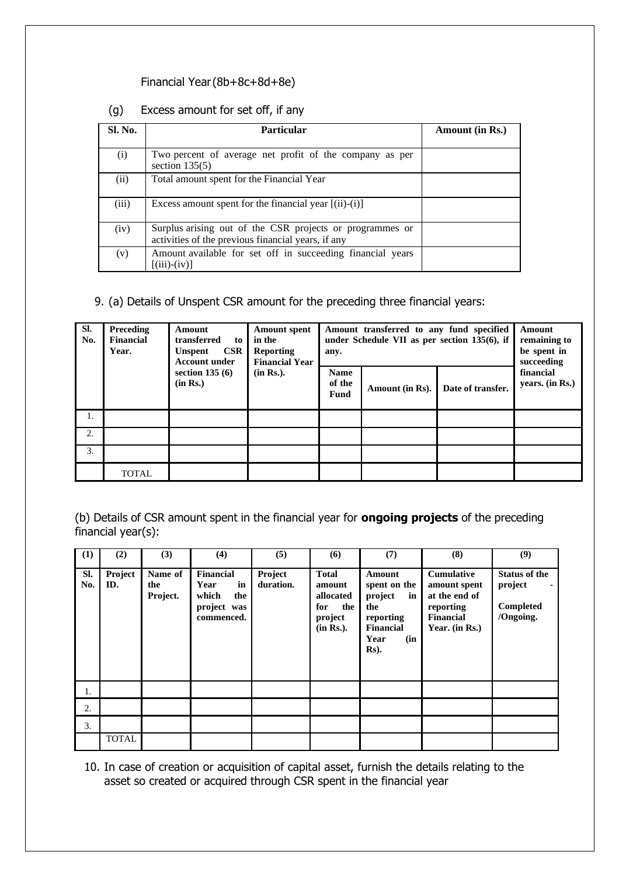#### Financial Year(8b+8c+8d+8e)

# (g) Excess amount for set off, if any

| Sl. No. | Particular                                                                                                     | <b>Amount</b> (in Rs.) |
|---------|----------------------------------------------------------------------------------------------------------------|------------------------|
| (i)     | Two percent of average net profit of the company as per<br>section $135(5)$                                    |                        |
| (ii)    | Total amount spent for the Financial Year                                                                      |                        |
| (iii)   | Excess amount spent for the financial year $[(ii)-(i)]$                                                        |                        |
| (iv)    | Surplus arising out of the CSR projects or programmes or<br>activities of the previous financial years, if any |                        |
| (v)     | Amount available for set off in succeeding financial years<br>$(iii)$ - $(iv)$ ]                               |                        |

#### 9. (a) Details of Unspent CSR amount for the preceding three financial years:

| Sl.<br>No. | Preceding<br>Financial<br>Year. | Amount<br>transferred<br>to<br>CSR<br><b>Unspent</b><br><b>Account under</b> | <b>Amount spent</b><br>in the<br><b>Reporting</b><br><b>Financial Year</b> | Amount transferred to any fund specified<br>under Schedule VII as per section $135(6)$ , if<br>any. | Amount<br>remaining to<br>be spent in<br>succeeding |                   |                              |
|------------|---------------------------------|------------------------------------------------------------------------------|----------------------------------------------------------------------------|-----------------------------------------------------------------------------------------------------|-----------------------------------------------------|-------------------|------------------------------|
|            |                                 | section $135(6)$<br>(in Rs.)                                                 | (in Rs.).                                                                  | <b>Name</b><br>of the<br>Fund                                                                       | Amount (in Rs).                                     | Date of transfer. | financial<br>years. (in Rs.) |
| 1.         |                                 |                                                                              |                                                                            |                                                                                                     |                                                     |                   |                              |
| 2.         |                                 |                                                                              |                                                                            |                                                                                                     |                                                     |                   |                              |
| 3.         |                                 |                                                                              |                                                                            |                                                                                                     |                                                     |                   |                              |
|            | <b>TOTAL</b>                    |                                                                              |                                                                            |                                                                                                     |                                                     |                   |                              |

(b) Details of CSR amount spent in the financial year for **ongoing projects** of the preceding financial year(s):

| (1)        | (2)            | (3)                        | (4)                                                                  | (5)                  | (6)                                                                       | (7)                                                                                                    | (8)                                                                                                   | (9)                                                       |
|------------|----------------|----------------------------|----------------------------------------------------------------------|----------------------|---------------------------------------------------------------------------|--------------------------------------------------------------------------------------------------------|-------------------------------------------------------------------------------------------------------|-----------------------------------------------------------|
| SI.<br>No. | Project<br>ID. | Name of<br>the<br>Project. | Financial<br>in<br>Year<br>which<br>the<br>project was<br>commenced. | Project<br>duration. | <b>Total</b><br>amount<br>allocated<br>for<br>the<br>project<br>(in Rs.). | Amount<br>spent on the<br>project<br>in<br>the<br>reporting<br><b>Financial</b><br>Year<br>(in<br>Rs). | <b>Cumulative</b><br>amount spent<br>at the end of<br>reporting<br><b>Financial</b><br>Year. (in Rs.) | <b>Status of the</b><br>project<br>Completed<br>/Ongoing. |
| 1.         |                |                            |                                                                      |                      |                                                                           |                                                                                                        |                                                                                                       |                                                           |
| 2.         |                |                            |                                                                      |                      |                                                                           |                                                                                                        |                                                                                                       |                                                           |
| 3.         |                |                            |                                                                      |                      |                                                                           |                                                                                                        |                                                                                                       |                                                           |
|            | <b>TOTAL</b>   |                            |                                                                      |                      |                                                                           |                                                                                                        |                                                                                                       |                                                           |

10. In case of creation or acquisition of capital asset, furnish the details relating to the asset so created or acquired through CSR spent in the financial year